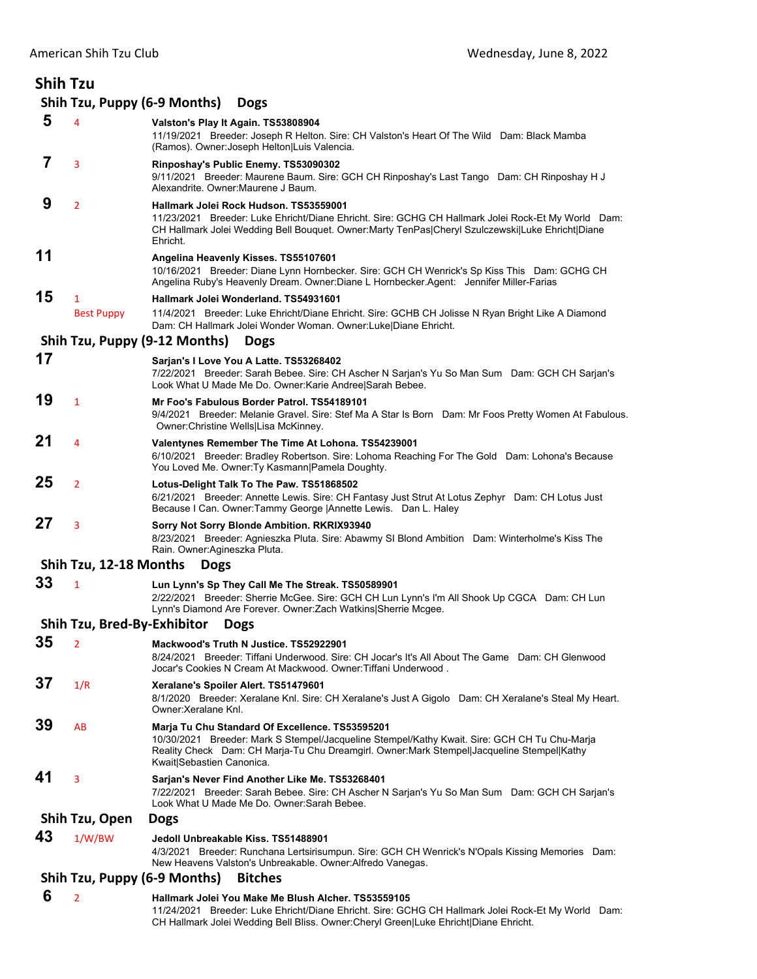| <b>Shih Tzu</b> |                             |                                                                                                                                                                                                                                                                            |
|-----------------|-----------------------------|----------------------------------------------------------------------------------------------------------------------------------------------------------------------------------------------------------------------------------------------------------------------------|
|                 |                             | Shih Tzu, Puppy (6-9 Months)<br><b>Dogs</b>                                                                                                                                                                                                                                |
| 5               | 4                           | Valston's Play It Again. TS53808904<br>11/19/2021 Breeder: Joseph R Helton. Sire: CH Valston's Heart Of The Wild Dam: Black Mamba<br>(Ramos). Owner: Joseph Helton Luis Valencia.                                                                                          |
| 7               | 3                           | Rinposhay's Public Enemy. TS53090302<br>9/11/2021 Breeder: Maurene Baum. Sire: GCH CH Rinposhay's Last Tango Dam: CH Rinposhay H J<br>Alexandrite. Owner: Maurene J Baum.                                                                                                  |
| 9               | $\overline{2}$              | Hallmark Jolei Rock Hudson, TS53559001<br>11/23/2021 Breeder: Luke Ehricht/Diane Ehricht. Sire: GCHG CH Hallmark Jolei Rock-Et My World Dam:<br>CH Hallmark Jolei Wedding Bell Bouquet. Owner:Marty TenPas Cheryl Szulczewski Luke Ehricht Diane<br>Ehricht.               |
| 11              |                             | Angelina Heavenly Kisses. TS55107601<br>10/16/2021 Breeder: Diane Lynn Hornbecker. Sire: GCH CH Wenrick's Sp Kiss This Dam: GCHG CH<br>Angelina Ruby's Heavenly Dream. Owner:Diane L Hornbecker.Agent: Jennifer Miller-Farias                                              |
| 15              | 1                           | Hallmark Jolei Wonderland. TS54931601                                                                                                                                                                                                                                      |
|                 | <b>Best Puppy</b>           | 11/4/2021 Breeder: Luke Ehricht/Diane Ehricht. Sire: GCHB CH Jolisse N Ryan Bright Like A Diamond<br>Dam: CH Hallmark Jolei Wonder Woman. Owner:Luke Diane Ehricht.                                                                                                        |
|                 |                             | Shih Tzu, Puppy (9-12 Months)<br><b>Dogs</b>                                                                                                                                                                                                                               |
| 17              |                             | Sarjan's I Love You A Latte. TS53268402<br>7/22/2021 Breeder: Sarah Bebee. Sire: CH Ascher N Sarjan's Yu So Man Sum Dam: GCH CH Sarjan's<br>Look What U Made Me Do. Owner:Karie Andree Sarah Bebee.                                                                        |
| 19              | $\mathbf{1}$                | Mr Foo's Fabulous Border Patrol, TS54189101<br>9/4/2021 Breeder: Melanie Gravel. Sire: Stef Ma A Star Is Born Dam: Mr Foos Pretty Women At Fabulous.<br>Owner: Christine Wells Lisa McKinney.                                                                              |
| 21              | 4                           | Valentynes Remember The Time At Lohona. TS54239001<br>6/10/2021 Breeder: Bradley Robertson. Sire: Lohoma Reaching For The Gold Dam: Lohona's Because<br>You Loved Me. Owner: Ty Kasmann   Pamela Doughty.                                                                  |
| 25              | $\overline{2}$              | Lotus-Delight Talk To The Paw. TS51868502<br>6/21/2021 Breeder: Annette Lewis. Sire: CH Fantasy Just Strut At Lotus Zephyr Dam: CH Lotus Just<br>Because I Can. Owner: Tammy George   Annette Lewis. Dan L. Haley                                                          |
| 27              | 3                           | Sorry Not Sorry Blonde Ambition. RKRIX93940<br>8/23/2021 Breeder: Agnieszka Pluta. Sire: Abawmy SI Blond Ambition Dam: Winterholme's Kiss The<br>Rain. Owner:Agineszka Pluta.                                                                                              |
|                 |                             | Shih Tzu, 12-18 Months Dogs                                                                                                                                                                                                                                                |
| 33              | $\mathbf{1}$                | Lun Lynn's Sp They Call Me The Streak. TS50589901<br>2/22/2021 Breeder: Sherrie McGee. Sire: GCH CH Lun Lynn's I'm All Shook Up CGCA Dam: CH Lun<br>Lynn's Diamond Are Forever. Owner: Zach Watkins Sherrie Mcgee.                                                         |
|                 | Shih Tzu, Bred-By-Exhibitor | <b>Dogs</b>                                                                                                                                                                                                                                                                |
| 35              | $\overline{2}$              | Mackwood's Truth N Justice. TS52922901<br>8/24/2021 Breeder: Tiffani Underwood. Sire: CH Jocar's It's All About The Game Dam: CH Glenwood<br>Jocar's Cookies N Cream At Mackwood. Owner: Tiffani Underwood.                                                                |
| 37              | 1/R                         | Xeralane's Spoiler Alert. TS51479601<br>8/1/2020 Breeder: Xeralane Knl. Sire: CH Xeralane's Just A Gigolo Dam: CH Xeralane's Steal My Heart.<br>Owner: Xeralane Knl.                                                                                                       |
| 39              | AB                          | Marja Tu Chu Standard Of Excellence. TS53595201<br>10/30/2021 Breeder: Mark S Stempel/Jacqueline Stempel/Kathy Kwait. Sire: GCH CH Tu Chu-Marja<br>Reality Check Dam: CH Marja-Tu Chu Dreamgirl. Owner: Mark Stempel Jacqueline Stempel Kathy<br>Kwait Sebastien Canonica. |
| 41              | 3                           | Sarjan's Never Find Another Like Me. TS53268401<br>7/22/2021 Breeder: Sarah Bebee. Sire: CH Ascher N Sarjan's Yu So Man Sum Dam: GCH CH Sarjan's<br>Look What U Made Me Do. Owner:Sarah Bebee.                                                                             |
|                 | Shih Tzu, Open              | <b>Dogs</b>                                                                                                                                                                                                                                                                |
| 43              | 1/W/BW                      | Jedoll Unbreakable Kiss. TS51488901<br>4/3/2021 Breeder: Runchana Lertsirisumpun. Sire: GCH CH Wenrick's N'Opals Kissing Memories Dam:<br>New Heavens Valston's Unbreakable. Owner: Alfredo Vanegas.                                                                       |
|                 |                             | Shih Tzu, Puppy (6-9 Months)<br><b>Bitches</b>                                                                                                                                                                                                                             |
| c               |                             |                                                                                                                                                                                                                                                                            |

 **6** <sup>2</sup> **Hallmark Jolei You Make Me Blush Alcher. TS53559105** 11/24/2021 Breeder: Luke Ehricht/Diane Ehricht. Sire: GCHG CH Hallmark Jolei Rock-Et My World Dam: CH Hallmark Jolei Wedding Bell Bliss. Owner:Cheryl Green|Luke Ehricht|Diane Ehricht.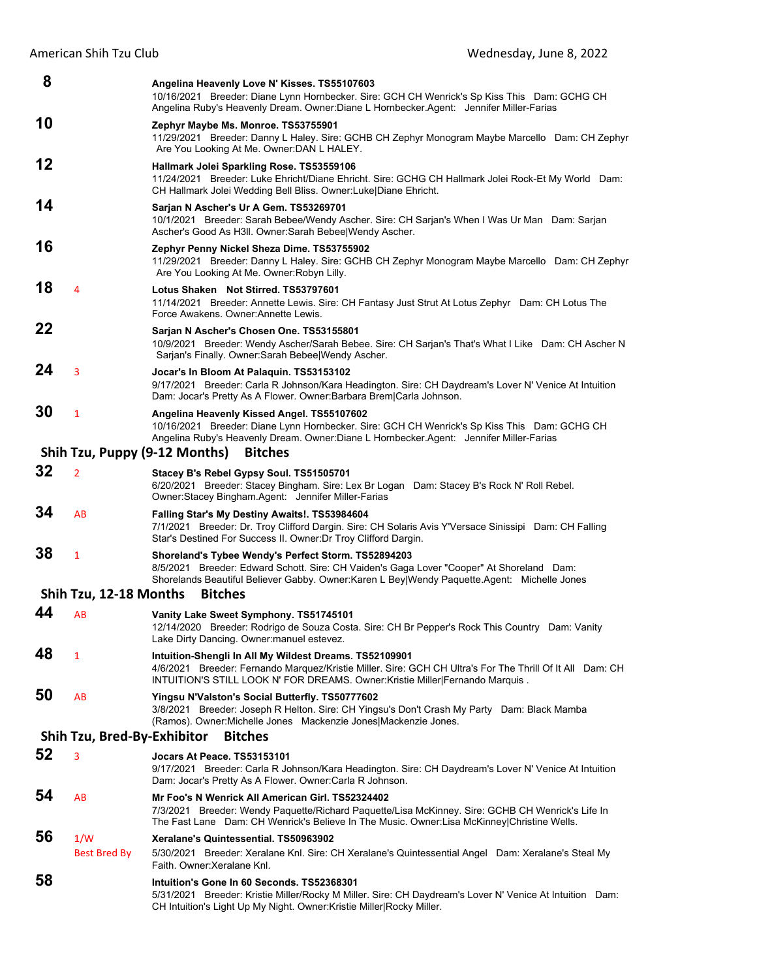| 8  |                             | Angelina Heavenly Love N' Kisses. TS55107603<br>10/16/2021 Breeder: Diane Lynn Hornbecker. Sire: GCH CH Wenrick's Sp Kiss This Dam: GCHG CH<br>Angelina Ruby's Heavenly Dream. Owner:Diane L Hornbecker.Agent: Jennifer Miller-Farias               |
|----|-----------------------------|-----------------------------------------------------------------------------------------------------------------------------------------------------------------------------------------------------------------------------------------------------|
| 10 |                             | Zephyr Maybe Ms. Monroe. TS53755901<br>11/29/2021 Breeder: Danny L Haley. Sire: GCHB CH Zephyr Monogram Maybe Marcello Dam: CH Zephyr<br>Are You Looking At Me. Owner: DAN L HALEY.                                                                 |
| 12 |                             | Hallmark Jolei Sparkling Rose. TS53559106<br>11/24/2021 Breeder: Luke Ehricht/Diane Ehricht. Sire: GCHG CH Hallmark Jolei Rock-Et My World Dam:<br>CH Hallmark Jolei Wedding Bell Bliss. Owner: Luke Diane Ehricht.                                 |
| 14 |                             | Sarjan N Ascher's Ur A Gem. TS53269701<br>10/1/2021 Breeder: Sarah Bebee/Wendy Ascher. Sire: CH Sarjan's When I Was Ur Man Dam: Sarjan<br>Ascher's Good As H3II. Owner: Sarah Bebee Wendy Ascher.                                                   |
| 16 |                             | Zephyr Penny Nickel Sheza Dime. TS53755902<br>11/29/2021 Breeder: Danny L Haley. Sire: GCHB CH Zephyr Monogram Maybe Marcello Dam: CH Zephyr<br>Are You Looking At Me. Owner: Robyn Lilly.                                                          |
| 18 | 4                           | Lotus Shaken Not Stirred. TS53797601<br>11/14/2021 Breeder: Annette Lewis. Sire: CH Fantasy Just Strut At Lotus Zephyr Dam: CH Lotus The<br>Force Awakens. Owner: Annette Lewis.                                                                    |
| 22 |                             | Sarjan N Ascher's Chosen One. TS53155801<br>10/9/2021 Breeder: Wendy Ascher/Sarah Bebee. Sire: CH Sarjan's That's What I Like Dam: CH Ascher N<br>Sarjan's Finally. Owner: Sarah BebeelWendy Ascher.                                                |
| 24 | 3                           | Jocar's In Bloom At Palaguin. TS53153102<br>9/17/2021 Breeder: Carla R Johnson/Kara Headington. Sire: CH Daydream's Lover N' Venice At Intuition<br>Dam: Jocar's Pretty As A Flower. Owner: Barbara Brem Carla Johnson.                             |
| 30 | $\mathbf{1}$                | Angelina Heavenly Kissed Angel. TS55107602<br>10/16/2021 Breeder: Diane Lynn Hornbecker. Sire: GCH CH Wenrick's Sp Kiss This Dam: GCHG CH<br>Angelina Ruby's Heavenly Dream. Owner:Diane L Hornbecker.Agent: Jennifer Miller-Farias                 |
|    |                             | Shih Tzu, Puppy (9-12 Months)<br><b>Bitches</b>                                                                                                                                                                                                     |
| 32 | $\overline{2}$              | Stacey B's Rebel Gypsy Soul. TS51505701<br>6/20/2021 Breeder: Stacey Bingham. Sire: Lex Br Logan Dam: Stacey B's Rock N' Roll Rebel.<br>Owner:Stacey Bingham.Agent: Jennifer Miller-Farias                                                          |
| 34 | AB                          | Falling Star's My Destiny Awaits!. TS53984604<br>7/1/2021 Breeder: Dr. Troy Clifford Dargin. Sire: CH Solaris Avis Y'Versace Sinissipi Dam: CH Falling<br>Star's Destined For Success II. Owner: Dr Troy Clifford Dargin.                           |
| 38 | 1                           | Shoreland's Tybee Wendy's Perfect Storm. TS52894203<br>8/5/2021 Breeder: Edward Schott. Sire: CH Vaiden's Gaga Lover "Cooper" At Shoreland Dam:<br>Shorelands Beautiful Believer Gabby. Owner:Karen L Bey Wendy Paquette.Agent: Michelle Jones      |
|    | Shih Tzu, 12-18 Months      | <b>Bitches</b>                                                                                                                                                                                                                                      |
| 44 | AB                          | Vanity Lake Sweet Symphony. TS51745101<br>12/14/2020 Breeder: Rodrigo de Souza Costa. Sire: CH Br Pepper's Rock This Country Dam: Vanity<br>Lake Dirty Dancing. Owner manuel estevez.                                                               |
| 48 | 1                           | Intuition-Shengli In All My Wildest Dreams. TS52109901<br>4/6/2021 Breeder: Fernando Marquez/Kristie Miller. Sire: GCH CH Ultra's For The Thrill Of It All Dam: CH<br>INTUITION'S STILL LOOK N' FOR DREAMS. Owner: Kristie Miller Fernando Marquis. |
| 50 | AB                          | Yingsu N'Valston's Social Butterfly. TS50777602<br>3/8/2021 Breeder: Joseph R Helton. Sire: CH Yingsu's Don't Crash My Party Dam: Black Mamba<br>(Ramos). Owner: Michelle Jones Mackenzie Jones Mackenzie Jones.                                    |
|    | Shih Tzu, Bred-By-Exhibitor | <b>Bitches</b>                                                                                                                                                                                                                                      |
| 52 | 3                           | <b>Jocars At Peace. TS53153101</b><br>9/17/2021 Breeder: Carla R Johnson/Kara Headington. Sire: CH Daydream's Lover N' Venice At Intuition<br>Dam: Jocar's Pretty As A Flower. Owner: Carla R Johnson.                                              |
| 54 | AB                          | Mr Foo's N Wenrick All American Girl. TS52324402<br>7/3/2021 Breeder: Wendy Paquette/Richard Paquette/Lisa McKinney. Sire: GCHB CH Wenrick's Life In<br>The Fast Lane Dam: CH Wenrick's Believe In The Music. Owner:Lisa McKinney Christine Wells.  |
| 56 | 1/W                         | Xeralane's Quintessential. TS50963902                                                                                                                                                                                                               |
|    | Best Bred By                | 5/30/2021 Breeder: Xeralane Knl. Sire: CH Xeralane's Quintessential Angel Dam: Xeralane's Steal My<br>Faith. Owner: Xeralane Knl.                                                                                                                   |
| 58 |                             | Intuition's Gone In 60 Seconds. TS52368301<br>5/31/2021 Breeder: Kristie Miller/Rocky M Miller. Sire: CH Daydream's Lover N' Venice At Intuition Dam:<br>CH Intuition's Light Up My Night. Owner: Kristie Miller Rocky Miller.                      |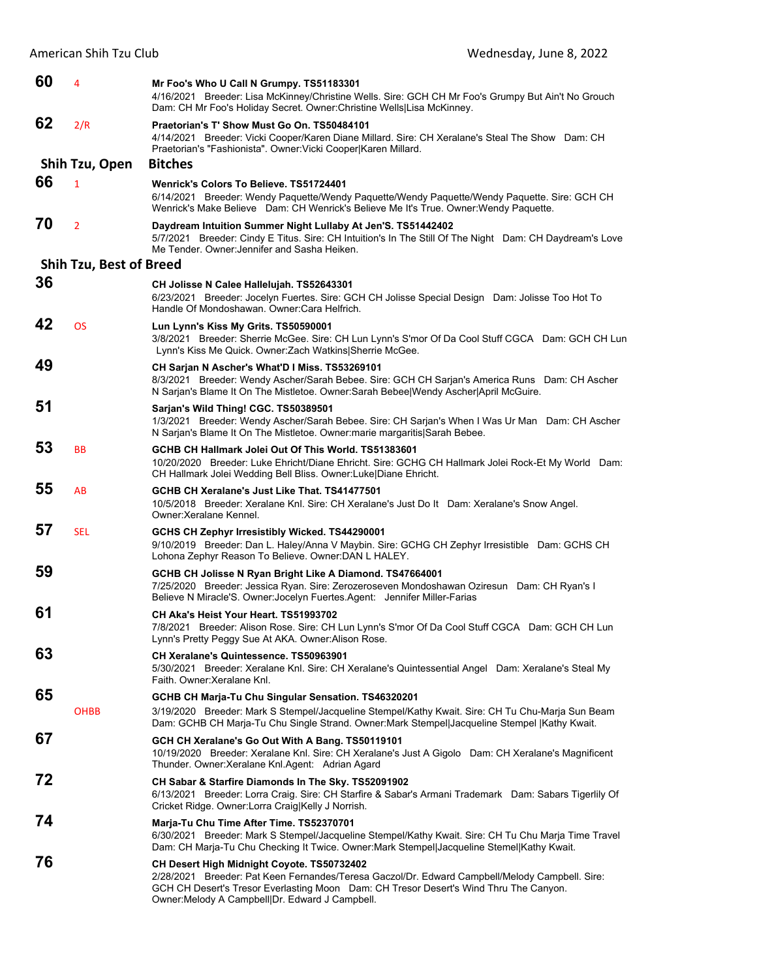| 60 | 4                              | Mr Foo's Who U Call N Grumpy. TS51183301<br>4/16/2021 Breeder: Lisa McKinney/Christine Wells. Sire: GCH CH Mr Foo's Grumpy But Ain't No Grouch<br>Dam: CH Mr Foo's Holiday Secret. Owner: Christine Wells Lisa McKinney.                                                                 |
|----|--------------------------------|------------------------------------------------------------------------------------------------------------------------------------------------------------------------------------------------------------------------------------------------------------------------------------------|
| 62 | 2/R                            | Praetorian's T' Show Must Go On. TS50484101<br>4/14/2021 Breeder: Vicki Cooper/Karen Diane Millard. Sire: CH Xeralane's Steal The Show Dam: CH<br>Praetorian's "Fashionista". Owner: Vicki Cooper Karen Millard.                                                                         |
|    | Shih Tzu, Open                 | <b>Bitches</b>                                                                                                                                                                                                                                                                           |
| 66 | $\mathbf{1}$                   | Wenrick's Colors To Believe, TS51724401<br>6/14/2021 Breeder: Wendy Paquette/Wendy Paquette/Wendy Paquette/Wendy Paquette. Sire: GCH CH<br>Wenrick's Make Believe Dam: CH Wenrick's Believe Me It's True. Owner: Wendy Paquette.                                                         |
| 70 | $\overline{2}$                 | Daydream Intuition Summer Night Lullaby At Jen'S. TS51442402<br>5/7/2021 Breeder: Cindy E Titus. Sire: CH Intuition's In The Still Of The Night Dam: CH Daydream's Love<br>Me Tender. Owner: Jennifer and Sasha Heiken.                                                                  |
|    | <b>Shih Tzu, Best of Breed</b> |                                                                                                                                                                                                                                                                                          |
| 36 |                                | CH Jolisse N Calee Hallelujah. TS52643301<br>6/23/2021 Breeder: Jocelyn Fuertes. Sire: GCH CH Jolisse Special Design Dam: Jolisse Too Hot To<br>Handle Of Mondoshawan. Owner: Cara Helfrich.                                                                                             |
| 42 | <b>OS</b>                      | Lun Lynn's Kiss My Grits. TS50590001<br>3/8/2021 Breeder: Sherrie McGee. Sire: CH Lun Lynn's S'mor Of Da Cool Stuff CGCA Dam: GCH CH Lun<br>Lynn's Kiss Me Quick. Owner: Zach Watkins Sherrie McGee.                                                                                     |
| 49 |                                | CH Sarjan N Ascher's What'D I Miss. TS53269101<br>8/3/2021 Breeder: Wendy Ascher/Sarah Bebee. Sire: GCH CH Sarjan's America Runs Dam: CH Ascher<br>N Sarjan's Blame It On The Mistletoe. Owner:Sarah Bebee Wendy Ascher April McGuire.                                                   |
| 51 |                                | Sarjan's Wild Thing! CGC. TS50389501<br>1/3/2021 Breeder: Wendy Ascher/Sarah Bebee. Sire: CH Sarjan's When I Was Ur Man Dam: CH Ascher<br>N Sarjan's Blame It On The Mistletoe. Owner: marie margaritis Sarah Bebee.                                                                     |
| 53 | <b>BB</b>                      | GCHB CH Hallmark Jolei Out Of This World, TS51383601<br>10/20/2020 Breeder: Luke Ehricht/Diane Ehricht. Sire: GCHG CH Hallmark Jolei Rock-Et My World Dam:<br>CH Hallmark Jolei Wedding Bell Bliss. Owner: Luke Diane Ehricht.                                                           |
| 55 | AB                             | GCHB CH Xeralane's Just Like That. TS41477501<br>10/5/2018 Breeder: Xeralane Knl. Sire: CH Xeralane's Just Do It Dam: Xeralane's Snow Angel.<br>Owner: Xeralane Kennel.                                                                                                                  |
| 57 | <b>SEL</b>                     | GCHS CH Zephyr Irresistibly Wicked. TS44290001<br>9/10/2019 Breeder: Dan L. Haley/Anna V Maybin. Sire: GCHG CH Zephyr Irresistible Dam: GCHS CH<br>Lohona Zephyr Reason To Believe. Owner: DAN L HALEY.                                                                                  |
| 59 |                                | GCHB CH Jolisse N Ryan Bright Like A Diamond. TS47664001<br>7/25/2020 Breeder: Jessica Ryan. Sire: Zerozeroseven Mondoshawan Oziresun Dam: CH Ryan's I<br>Believe N Miracle'S. Owner: Jocelyn Fuertes. Agent: Jennifer Miller-Farias                                                     |
| 61 |                                | CH Aka's Heist Your Heart, TS51993702<br>7/8/2021 Breeder: Alison Rose. Sire: CH Lun Lynn's S'mor Of Da Cool Stuff CGCA Dam: GCH CH Lun<br>Lynn's Pretty Peggy Sue At AKA. Owner: Alison Rose.                                                                                           |
| 63 |                                | CH Xeralane's Quintessence. TS50963901<br>5/30/2021 Breeder: Xeralane Knl. Sire: CH Xeralane's Quintessential Angel Dam: Xeralane's Steal My<br>Faith. Owner: Xeralane Knl.                                                                                                              |
| 65 |                                | GCHB CH Marja-Tu Chu Singular Sensation. TS46320201                                                                                                                                                                                                                                      |
|    | <b>OHBB</b>                    | 3/19/2020 Breeder: Mark S Stempel/Jacqueline Stempel/Kathy Kwait. Sire: CH Tu Chu-Marja Sun Beam<br>Dam: GCHB CH Marja-Tu Chu Single Strand. Owner: Mark Stempel Jacqueline Stempel  Kathy Kwait.                                                                                        |
| 67 |                                | GCH CH Xeralane's Go Out With A Bang. TS50119101<br>10/19/2020 Breeder: Xeralane Knl. Sire: CH Xeralane's Just A Gigolo Dam: CH Xeralane's Magnificent<br>Thunder. Owner: Xeralane Knl. Agent: Adrian Agard                                                                              |
| 72 |                                | CH Sabar & Starfire Diamonds In The Sky. TS52091902<br>6/13/2021 Breeder: Lorra Craig. Sire: CH Starfire & Sabar's Armani Trademark Dam: Sabars Tigerlily Of<br>Cricket Ridge. Owner:Lorra Craig Kelly J Norrish.                                                                        |
| 74 |                                | Marja-Tu Chu Time After Time. TS52370701<br>6/30/2021 Breeder: Mark S Stempel/Jacqueline Stempel/Kathy Kwait. Sire: CH Tu Chu Marja Time Travel<br>Dam: CH Marja-Tu Chu Checking It Twice. Owner: Mark Stempel Jacqueline Stemel Kathy Kwait.                                            |
| 76 |                                | CH Desert High Midnight Coyote. TS50732402<br>2/28/2021 Breeder: Pat Keen Fernandes/Teresa Gaczol/Dr. Edward Campbell/Melody Campbell. Sire:<br>GCH CH Desert's Tresor Everlasting Moon Dam: CH Tresor Desert's Wind Thru The Canyon.<br>Owner: Melody A Campbell Dr. Edward J Campbell. |